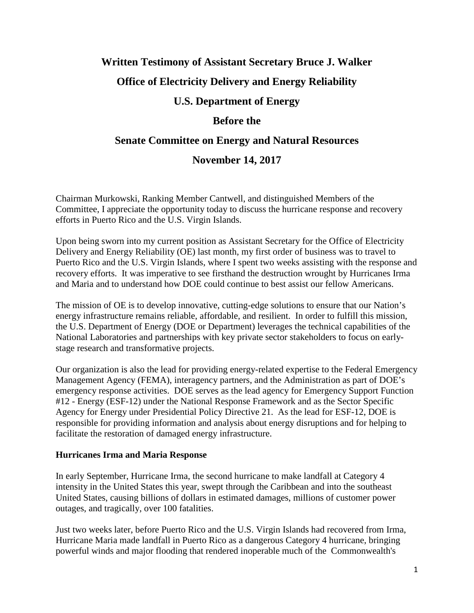# **Written Testimony of Assistant Secretary Bruce J. Walker Office of Electricity Delivery and Energy Reliability U.S. Department of Energy Before the Senate Committee on Energy and Natural Resources**

## **November 14, 2017**

Chairman Murkowski, Ranking Member Cantwell, and distinguished Members of the Committee, I appreciate the opportunity today to discuss the hurricane response and recovery efforts in Puerto Rico and the U.S. Virgin Islands.

Upon being sworn into my current position as Assistant Secretary for the Office of Electricity Delivery and Energy Reliability (OE) last month, my first order of business was to travel to Puerto Rico and the U.S. Virgin Islands, where I spent two weeks assisting with the response and recovery efforts. It was imperative to see firsthand the destruction wrought by Hurricanes Irma and Maria and to understand how DOE could continue to best assist our fellow Americans.

The mission of OE is to develop innovative, cutting-edge solutions to ensure that our Nation's energy infrastructure remains reliable, affordable, and resilient. In order to fulfill this mission, the U.S. Department of Energy (DOE or Department) leverages the technical capabilities of the National Laboratories and partnerships with key private sector stakeholders to focus on earlystage research and transformative projects.

Our organization is also the lead for providing energy-related expertise to the Federal Emergency Management Agency (FEMA), interagency partners, and the Administration as part of DOE's emergency response activities. DOE serves as the lead agency for Emergency Support Function #12 - Energy (ESF-12) under the National Response Framework and as the Sector Specific Agency for Energy under Presidential Policy Directive 21. As the lead for ESF-12, DOE is responsible for providing information and analysis about energy disruptions and for helping to facilitate the restoration of damaged energy infrastructure.

### **Hurricanes Irma and Maria Response**

In early September, Hurricane Irma, the second hurricane to make landfall at Category 4 intensity in the United States this year, swept through the Caribbean and into the southeast United States, causing billions of dollars in estimated damages, millions of customer power outages, and tragically, over 100 fatalities.

Just two weeks later, before Puerto Rico and the U.S. Virgin Islands had recovered from Irma, Hurricane Maria made landfall in Puerto Rico as a dangerous Category 4 hurricane, bringing powerful winds and major flooding that rendered inoperable much of the Commonwealth's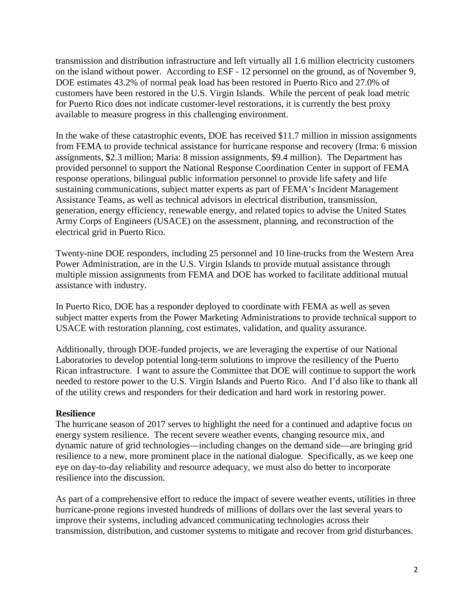transmission and distribution infrastructure and left virtually all 1.6 million electricity customers on the island without power. According to ESF - 12 personnel on the ground, as of November 9, DOE estimates 43.2% of normal peak load has been restored in Puerto Rico and 27.0% of customers have been restored in the U.S. Virgin Islands. While the percent of peak load metric for Puerto Rico does not indicate customer-level restorations, it is currently the best proxy available to measure progress in this challenging environment.

In the wake of these catastrophic events, DOE has received \$11.7 million in mission assignments from FEMA to provide technical assistance for hurricane response and recovery (Irma: 6 mission assignments, \$2.3 million; Maria: 8 mission assignments, \$9.4 million). The Department has provided personnel to support the National Response Coordination Center in support of FEMA response operations, bilingual public information personnel to provide life safety and life sustaining communications, subject matter experts as part of FEMA's Incident Management Assistance Teams, as well as technical advisors in electrical distribution, transmission, generation, energy efficiency, renewable energy, and related topics to advise the United States Army Corps of Engineers (USACE) on the assessment, planning, and reconstruction of the electrical grid in Puerto Rico.

Twenty-nine DOE responders, including 25 personnel and 10 line-trucks from the Western Area Power Administration, are in the U.S. Virgin Islands to provide mutual assistance through multiple mission assignments from FEMA and DOE has worked to facilitate additional mutual assistance with industry.

In Puerto Rico, DOE has a responder deployed to coordinate with FEMA as well as seven subject matter experts from the Power Marketing Administrations to provide technical support to USACE with restoration planning, cost estimates, validation, and quality assurance.

Additionally, through DOE-funded projects, we are leveraging the expertise of our National Laboratories to develop potential long-term solutions to improve the resiliency of the Puerto Rican infrastructure. I want to assure the Committee that DOE will continue to support the work needed to restore power to the U.S. Virgin Islands and Puerto Rico. And I'd also like to thank all of the utility crews and responders for their dedication and hard work in restoring power.

### **Resilience**

The hurricane season of 2017 serves to highlight the need for a continued and adaptive focus on energy system resilience. The recent severe weather events, changing resource mix, and dynamic nature of grid technologies—including changes on the demand side—are bringing grid resilience to a new, more prominent place in the national dialogue. Specifically, as we keep one eye on day-to-day reliability and resource adequacy, we must also do better to incorporate resilience into the discussion.

As part of a comprehensive effort to reduce the impact of severe weather events, utilities in three hurricane-prone regions invested hundreds of millions of dollars over the last several years to improve their systems, including advanced communicating technologies across their transmission, distribution, and customer systems to mitigate and recover from grid disturbances.